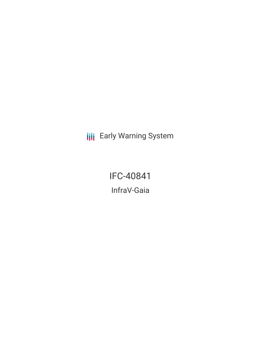**III** Early Warning System

IFC-40841 InfraV-Gaia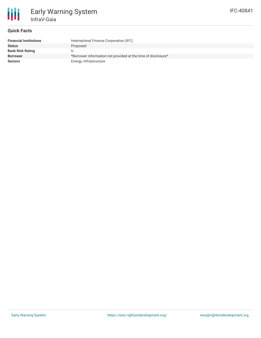## **Quick Facts**

Early Warning System

InfraV-Gaia

| <b>Financial Institutions</b> | International Finance Corporation (IFC)                       |
|-------------------------------|---------------------------------------------------------------|
| <b>Status</b>                 | Proposed                                                      |
| <b>Bank Risk Rating</b>       |                                                               |
| <b>Borrower</b>               | *Borrower information not provided at the time of disclosure* |
| <b>Sectors</b>                | Energy, Infrastructure                                        |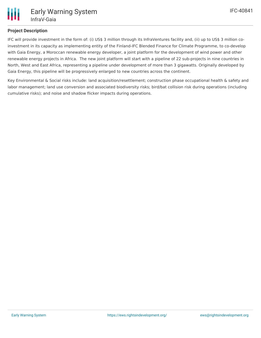# **Project Description**

IFC will provide investment in the form of: (i) US\$ 3 million through its InfraVentures facility and, (ii) up to US\$ 3 million coinvestment in its capacity as implementing entity of the Finland-IFC Blended Finance for Climate Programme, to co-develop with Gaia Energy, a Moroccan renewable energy developer, a joint platform for the development of wind power and other renewable energy projects in Africa. The new joint platform will start with a pipeline of 22 sub-projects in nine countries in North, West and East Africa, representing a pipeline under development of more than 3 gigawatts. Originally developed by Gaia Energy, this pipeline will be progressively enlarged to new countries across the continent.

Key Environmental & Social risks include: land acquisition/resettlement; construction phase occupational health & safety and labor management; land use conversion and associated biodiversity risks; bird/bat collision risk during operations (including cumulative risks); and noise and shadow flicker impacts during operations.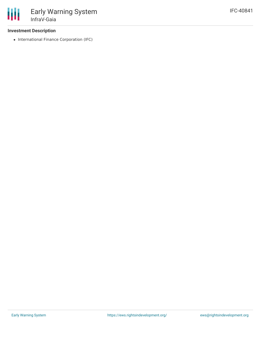### **Investment Description**

• International Finance Corporation (IFC)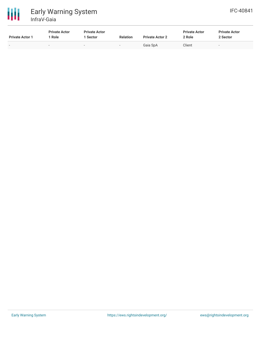

| <b>Private Actor 1</b>   | <b>Private Actor</b><br>Role | <b>Private Actor</b><br>. Sector | <b>Relation</b>          | <b>Private Actor 2</b> | <b>Private Actor</b><br>2 Role | <b>Private Actor</b><br>2 Sector |
|--------------------------|------------------------------|----------------------------------|--------------------------|------------------------|--------------------------------|----------------------------------|
| $\overline{\phantom{0}}$ | $\overline{\phantom{a}}$     |                                  | $\overline{\phantom{0}}$ | Gaia SpA               | Client                         | $\overline{\phantom{0}}$         |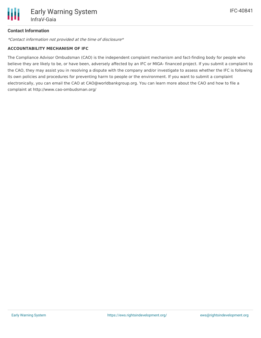## **Contact Information**

\*Contact information not provided at the time of disclosure\*

#### **ACCOUNTABILITY MECHANISM OF IFC**

The Compliance Advisor Ombudsman (CAO) is the independent complaint mechanism and fact-finding body for people who believe they are likely to be, or have been, adversely affected by an IFC or MIGA- financed project. If you submit a complaint to the CAO, they may assist you in resolving a dispute with the company and/or investigate to assess whether the IFC is following its own policies and procedures for preventing harm to people or the environment. If you want to submit a complaint electronically, you can email the CAO at CAO@worldbankgroup.org. You can learn more about the CAO and how to file a complaint at http://www.cao-ombudsman.org/